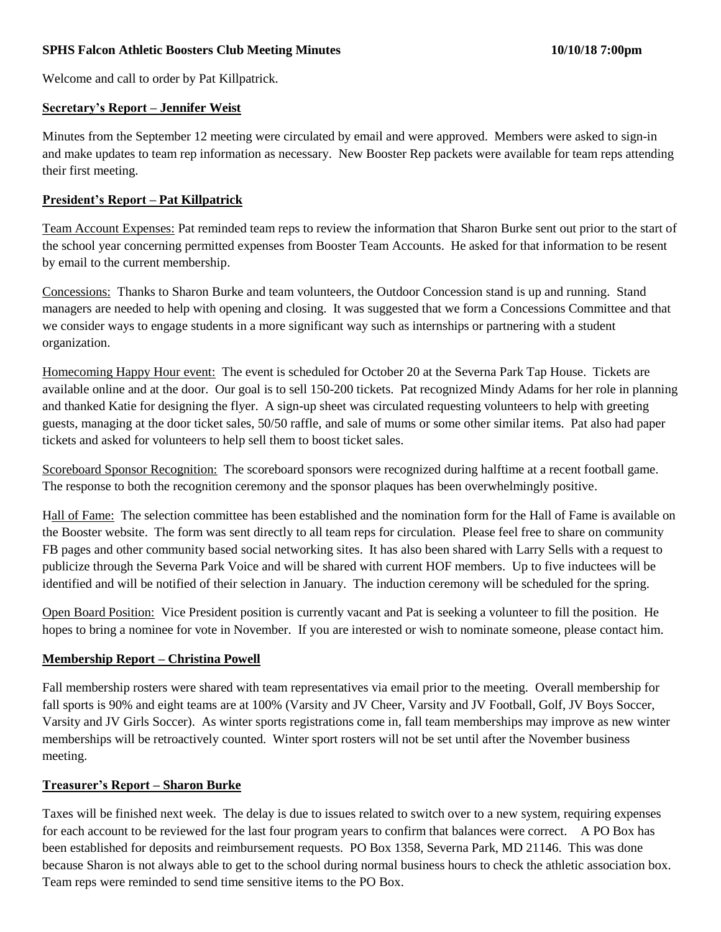### **SPHS Falcon Athletic Boosters Club Meeting Minutes 10/10/18 7:00pm**

Welcome and call to order by Pat Killpatrick.

#### **Secretary's Report – Jennifer Weist**

Minutes from the September 12 meeting were circulated by email and were approved. Members were asked to sign-in and make updates to team rep information as necessary. New Booster Rep packets were available for team reps attending their first meeting.

#### **President's Report – Pat Killpatrick**

Team Account Expenses: Pat reminded team reps to review the information that Sharon Burke sent out prior to the start of the school year concerning permitted expenses from Booster Team Accounts. He asked for that information to be resent by email to the current membership.

Concessions: Thanks to Sharon Burke and team volunteers, the Outdoor Concession stand is up and running. Stand managers are needed to help with opening and closing. It was suggested that we form a Concessions Committee and that we consider ways to engage students in a more significant way such as internships or partnering with a student organization.

Homecoming Happy Hour event: The event is scheduled for October 20 at the Severna Park Tap House. Tickets are available online and at the door. Our goal is to sell 150-200 tickets. Pat recognized Mindy Adams for her role in planning and thanked Katie for designing the flyer. A sign-up sheet was circulated requesting volunteers to help with greeting guests, managing at the door ticket sales, 50/50 raffle, and sale of mums or some other similar items. Pat also had paper tickets and asked for volunteers to help sell them to boost ticket sales.

Scoreboard Sponsor Recognition: The scoreboard sponsors were recognized during halftime at a recent football game. The response to both the recognition ceremony and the sponsor plaques has been overwhelmingly positive.

Hall of Fame: The selection committee has been established and the nomination form for the Hall of Fame is available on the Booster website. The form was sent directly to all team reps for circulation. Please feel free to share on community FB pages and other community based social networking sites. It has also been shared with Larry Sells with a request to publicize through the Severna Park Voice and will be shared with current HOF members. Up to five inductees will be identified and will be notified of their selection in January. The induction ceremony will be scheduled for the spring.

Open Board Position: Vice President position is currently vacant and Pat is seeking a volunteer to fill the position. He hopes to bring a nominee for vote in November. If you are interested or wish to nominate someone, please contact him.

#### **Membership Report – Christina Powell**

Fall membership rosters were shared with team representatives via email prior to the meeting. Overall membership for fall sports is 90% and eight teams are at 100% (Varsity and JV Cheer, Varsity and JV Football, Golf, JV Boys Soccer, Varsity and JV Girls Soccer). As winter sports registrations come in, fall team memberships may improve as new winter memberships will be retroactively counted. Winter sport rosters will not be set until after the November business meeting.

#### **Treasurer's Report – Sharon Burke**

Taxes will be finished next week. The delay is due to issues related to switch over to a new system, requiring expenses for each account to be reviewed for the last four program years to confirm that balances were correct. A PO Box has been established for deposits and reimbursement requests. PO Box 1358, Severna Park, MD 21146. This was done because Sharon is not always able to get to the school during normal business hours to check the athletic association box. Team reps were reminded to send time sensitive items to the PO Box.